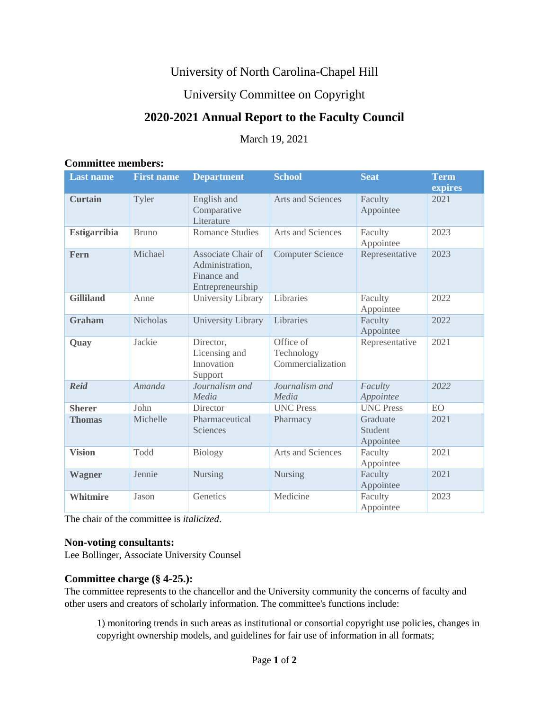# University of North Carolina-Chapel Hill

# University Committee on Copyright

# **2020-2021 Annual Report to the Faculty Council**

March 19, 2021

#### **Committee members:**

| <b>Last name</b>    | <b>First name</b> | <b>Department</b>                                                        | <b>School</b>                                | <b>Seat</b>                      | <b>Term</b><br>expires |
|---------------------|-------------------|--------------------------------------------------------------------------|----------------------------------------------|----------------------------------|------------------------|
| <b>Curtain</b>      | Tyler             | English and<br>Comparative<br>Literature                                 | <b>Arts and Sciences</b>                     | Faculty<br>Appointee             | 2021                   |
| <b>Estigarribia</b> | <b>Bruno</b>      | <b>Romance Studies</b>                                                   | Arts and Sciences                            | Faculty<br>Appointee             | 2023                   |
| Fern                | Michael           | Associate Chair of<br>Administration,<br>Finance and<br>Entrepreneurship | <b>Computer Science</b>                      | Representative                   | 2023                   |
| <b>Gilliland</b>    | Anne              | University Library                                                       | Libraries                                    | Faculty<br>Appointee             | 2022                   |
| <b>Graham</b>       | <b>Nicholas</b>   | <b>University Library</b>                                                | Libraries                                    | Faculty<br>Appointee             | 2022                   |
| Quay                | Jackie            | Director,<br>Licensing and<br>Innovation<br>Support                      | Office of<br>Technology<br>Commercialization | Representative                   | 2021                   |
| <b>Reid</b>         | Amanda            | Journalism and<br>Media                                                  | Journalism and<br>Media                      | Faculty<br>Appointee             | 2022                   |
| <b>Sherer</b>       | John              | Director                                                                 | <b>UNC Press</b>                             | <b>UNC Press</b>                 | <b>EO</b>              |
| <b>Thomas</b>       | Michelle          | Pharmaceutical<br>Sciences                                               | Pharmacy                                     | Graduate<br>Student<br>Appointee | 2021                   |
| <b>Vision</b>       | Todd              | Biology                                                                  | Arts and Sciences                            | Faculty<br>Appointee             | 2021                   |
| <b>Wagner</b>       | Jennie            | <b>Nursing</b>                                                           | <b>Nursing</b>                               | Faculty<br>Appointee             | 2021                   |
| <b>Whitmire</b>     | Jason             | Genetics                                                                 | Medicine                                     | Faculty<br>Appointee             | 2023                   |

The chair of the committee is *italicized*.

#### **Non-voting consultants:**

Lee Bollinger, Associate University Counsel

### **Committee charge (§ 4-25.):**

The committee represents to the chancellor and the University community the concerns of faculty and other users and creators of scholarly information. The committee's functions include:

1) monitoring trends in such areas as institutional or consortial copyright use policies, changes in copyright ownership models, and guidelines for fair use of information in all formats;